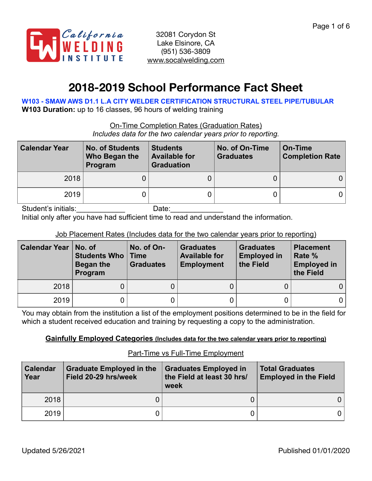

# **2018-2019 School Performance Fact Sheet**

**W103 - SMAW AWS D1.1 L.A CITY WELDER CERTIFICATION STRUCTURAL STEEL PIPE/TUBULAR W103 Duration:** up to 16 classes, 96 hours of welding training

On-Time Completion Rates (Graduation Rates)

*Includes data for the two calendar years prior to reporting.*

| <b>Calendar Year</b> | <b>No. of Students</b><br>Who Began the<br>Program | <b>Students</b><br><b>Available for</b><br><b>Graduation</b> | No. of On-Time<br><b>Graduates</b> | On-Time<br><b>Completion Rate</b> |
|----------------------|----------------------------------------------------|--------------------------------------------------------------|------------------------------------|-----------------------------------|
| 2018                 |                                                    |                                                              |                                    |                                   |
| 2019                 |                                                    |                                                              |                                    | 0 I                               |

Student's initials: example and Date:

Initial only after you have had sufficient time to read and understand the information.

Job Placement Rates (Includes data for the two calendar years prior to reporting)

| <b>Calendar Year   No. of</b> | <b>Students Who   Time</b><br>Began the<br>Program | No. of On-<br><b>Graduates</b> | <b>Graduates</b><br><b>Available for</b><br><b>Employment</b> | <b>Graduates</b><br><b>Employed in</b><br>the Field | <b>Placement</b><br>Rate %<br><b>Employed in</b><br>the Field |
|-------------------------------|----------------------------------------------------|--------------------------------|---------------------------------------------------------------|-----------------------------------------------------|---------------------------------------------------------------|
| 2018                          |                                                    |                                |                                                               |                                                     |                                                               |
| 2019                          |                                                    |                                |                                                               |                                                     |                                                               |

You may obtain from the institution a list of the employment positions determined to be in the field for which a student received education and training by requesting a copy to the administration.

#### **Gainfully Employed Categories (Includes data for the two calendar years prior to reporting)**

#### Part-Time vs Full-Time Employment

| <b>Calendar</b><br>Year | <b>Graduate Employed in the</b><br>Field 20-29 hrs/week | <b>Graduates Employed in</b><br>the Field at least 30 hrs/<br>week | <b>Total Graduates</b><br><b>Employed in the Field</b> |
|-------------------------|---------------------------------------------------------|--------------------------------------------------------------------|--------------------------------------------------------|
| 2018                    |                                                         |                                                                    | 0                                                      |
| 2019                    |                                                         |                                                                    | 0.                                                     |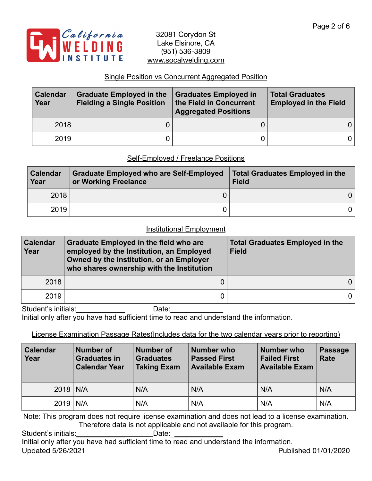

## Single Position vs Concurrent Aggregated Position

| <b>Calendar</b><br>Year | <b>Graduate Employed in the</b><br><b>Fielding a Single Position</b> | <b>Graduates Employed in</b><br>the Field in Concurrent<br><b>Aggregated Positions</b> | <b>Total Graduates</b><br><b>Employed in the Field</b> |
|-------------------------|----------------------------------------------------------------------|----------------------------------------------------------------------------------------|--------------------------------------------------------|
| 2018                    |                                                                      |                                                                                        | 0 I                                                    |
| 2019                    |                                                                      |                                                                                        | 0 I                                                    |

### Self-Employed / Freelance Positions

| <b>Calendar</b><br>Year | <b>Graduate Employed who are Self-Employed</b><br>or Working Freelance | <b>Total Graduates Employed in the</b><br><b>Field</b> |
|-------------------------|------------------------------------------------------------------------|--------------------------------------------------------|
| 2018                    |                                                                        | 0                                                      |
| 2019                    |                                                                        |                                                        |

#### Institutional Employment

| <b>Calendar</b><br>Year | <b>Graduate Employed in the field who are</b><br>employed by the Institution, an Employed<br>Owned by the Institution, or an Employer<br>who shares ownership with the Institution | <b>Total Graduates Employed in the</b><br><b>Field</b> |  |  |
|-------------------------|------------------------------------------------------------------------------------------------------------------------------------------------------------------------------------|--------------------------------------------------------|--|--|
| 2018                    |                                                                                                                                                                                    |                                                        |  |  |
| 2019                    |                                                                                                                                                                                    |                                                        |  |  |

Student's initials: Date: Initial only after you have had sufficient time to read and understand the information.

## License Examination Passage Rates(Includes data for the two calendar years prior to reporting)

| <b>Calendar</b><br>Year | <b>Number of</b><br><b>Graduates in</b><br><b>Calendar Year</b> | <b>Number of</b><br><b>Graduates</b><br><b>Taking Exam</b> | <b>Number who</b><br><b>Passed First</b><br><b>Available Exam</b> | <b>Number who</b><br><b>Failed First</b><br><b>Available Exam</b> | <b>Passage</b><br>Rate |
|-------------------------|-----------------------------------------------------------------|------------------------------------------------------------|-------------------------------------------------------------------|-------------------------------------------------------------------|------------------------|
| $2018$ N/A              |                                                                 | N/A                                                        | N/A                                                               | N/A                                                               | N/A                    |
| $2019$ N/A              |                                                                 | N/A                                                        | N/A                                                               | N/A                                                               | N/A                    |

Note: This program does not require license examination and does not lead to a license examination. Therefore data is not applicable and not available for this program.

Student's initials:\_\_\_\_\_\_\_\_\_\_\_\_\_\_\_\_\_\_\_\_\_\_\_\_Date: Initial only after you have had sufficient time to read and understand the information. Updated 5/26/2021 Published 01/01/2020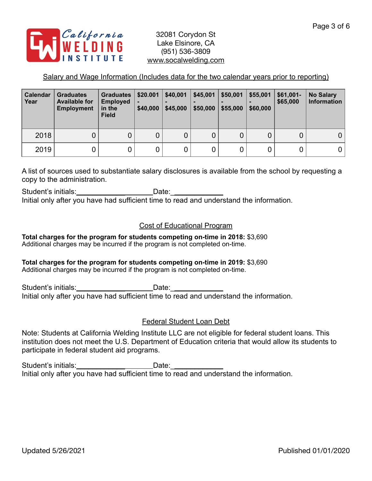

## Salary and Wage Information (Includes data for the two calendar years prior to reporting)

| Calendar<br>Year | <b>Graduates</b><br><b>Available for</b><br><b>Employment</b> | <b>Graduates</b><br><b>Employed</b><br>in the<br><b>Field</b> | \$20.001<br>\$40,000 | \$40,001<br>\$45,000 | \$45,001<br>\$50,000 | \$50,001<br>\$55,000 | \$55,001<br>\$60,000 | $$61,001-$<br>\$65,000 | <b>No Salary</b><br>Information |
|------------------|---------------------------------------------------------------|---------------------------------------------------------------|----------------------|----------------------|----------------------|----------------------|----------------------|------------------------|---------------------------------|
| 2018             | 0                                                             | 0                                                             | 0                    | 0                    | 0                    |                      |                      | U                      | 0'                              |
| 2019             |                                                               | 0                                                             | 0                    | 0                    | $\mathbf 0$          |                      |                      |                        | 0 I                             |

A list of sources used to substantiate salary disclosures is available from the school by requesting a copy to the administration.

Student's initials: example and Date: Initial only after you have had sufficient time to read and understand the information.

### Cost of Educational Program

**Total charges for the program for students competing on-time in 2018:** \$3,690 Additional charges may be incurred if the program is not completed on-time.

#### **Total charges for the program for students competing on-time in 2019:** \$3,690

Additional charges may be incurred if the program is not completed on-time.

Student's initials: example of the Date: Initial only after you have had sufficient time to read and understand the information.

#### Federal Student Loan Debt

Note: Students at California Welding Institute LLC are not eligible for federal student loans. This institution does not meet the U.S. Department of Education criteria that would allow its students to participate in federal student aid programs.

Student's initials:\_\_\_\_\_\_\_\_\_\_\_\_\_\_\_\_\_\_\_\_\_\_\_\_\_Date:\_\_\_\_ Initial only after you have had sufficient time to read and understand the information.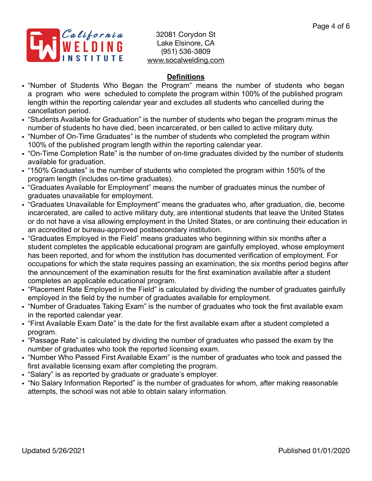

## **Definitions**

- "Number of Students Who Began the Program" means the number of students who began a program who were scheduled to complete the program within 100% of the published program length within the reporting calendar year and excludes all students who cancelled during the cancellation period.
- "Students Available for Graduation" is the number of students who began the program minus the number of students ho have died, been incarcerated, or ben called to active military duty.
- "Number of On-Time Graduates" is the number of students who completed the program within 100% of the published program length within the reporting calendar year.
- "On-Time Completion Rate" is the number of on-time graduates divided by the number of students available for graduation.
- "150% Graduates" is the number of students who completed the program within 150% of the program length (includes on-time graduates).
- "Graduates Available for Employment" means the number of graduates minus the number of graduates unavailable for employment.
- "Graduates Unavailable for Employment" means the graduates who, after graduation, die, become incarcerated, are called to active military duty, are intentional students that leave the United States or do not have a visa allowing employment in the United States, or are continuing their education in an accredited or bureau-approved postsecondary institution.
- "Graduates Employed in the Field" means graduates who beginning within six months after a student completes the applicable educational program are gainfully employed, whose employment has been reported, and for whom the institution has documented verification of employment. For occupations for which the state requires passing an examination, the six months period begins after the announcement of the examination results for the first examination available after a student completes an applicable educational program.
- "Placement Rate Employed in the Field" is calculated by dividing the number of graduates gainfully employed in the field by the number of graduates available for employment.
- "Number of Graduates Taking Exam" is the number of graduates who took the first available exam in the reported calendar year.
- "First Available Exam Date" is the date for the first available exam after a student completed a program.
- "Passage Rate" is calculated by dividing the number of graduates who passed the exam by the number of graduates who took the reported licensing exam.
- "Number Who Passed First Available Exam" is the number of graduates who took and passed the first available licensing exam after completing the program.
- "Salary" is as reported by graduate or graduate's employer.
- "No Salary Information Reported" is the number of graduates for whom, after making reasonable attempts, the school was not able to obtain salary information.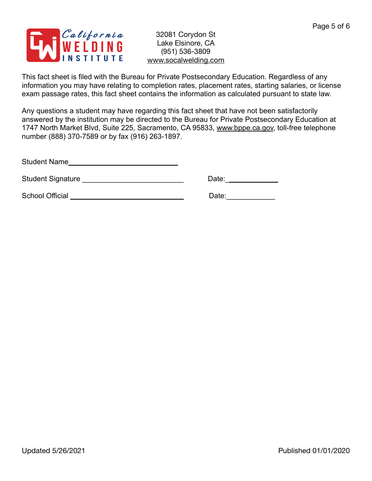

This fact sheet is filed with the Bureau for Private Postsecondary Education. Regardless of any information you may have relating to completion rates, placement rates, starting salaries, or license exam passage rates, this fact sheet contains the information as calculated pursuant to state law.

Any questions a student may have regarding this fact sheet that have not been satisfactorily answered by the institution may be directed to the Bureau for Private Postsecondary Education at 1747 North Market Blvd, Suite 225, Sacramento, CA 95833, [www.bppe.ca.gov](http://www.bppe.ca.gov), toll-free telephone number (888) 370-7589 or by fax (916) 263-1897.

Student Name\_\_\_\_\_\_\_\_\_\_\_\_\_\_\_\_\_\_\_\_\_\_\_\_\_\_\_

Student Signature \_\_\_\_\_\_\_\_\_\_\_\_\_\_\_\_\_\_\_\_\_\_\_\_\_ Date:\_\_\_\_\_\_\_\_\_\_\_\_\_

School Official \_\_\_\_\_\_\_\_\_\_\_\_\_\_\_\_\_\_\_\_\_\_\_\_\_\_\_\_ Date:\_\_\_\_\_\_\_\_\_\_\_\_